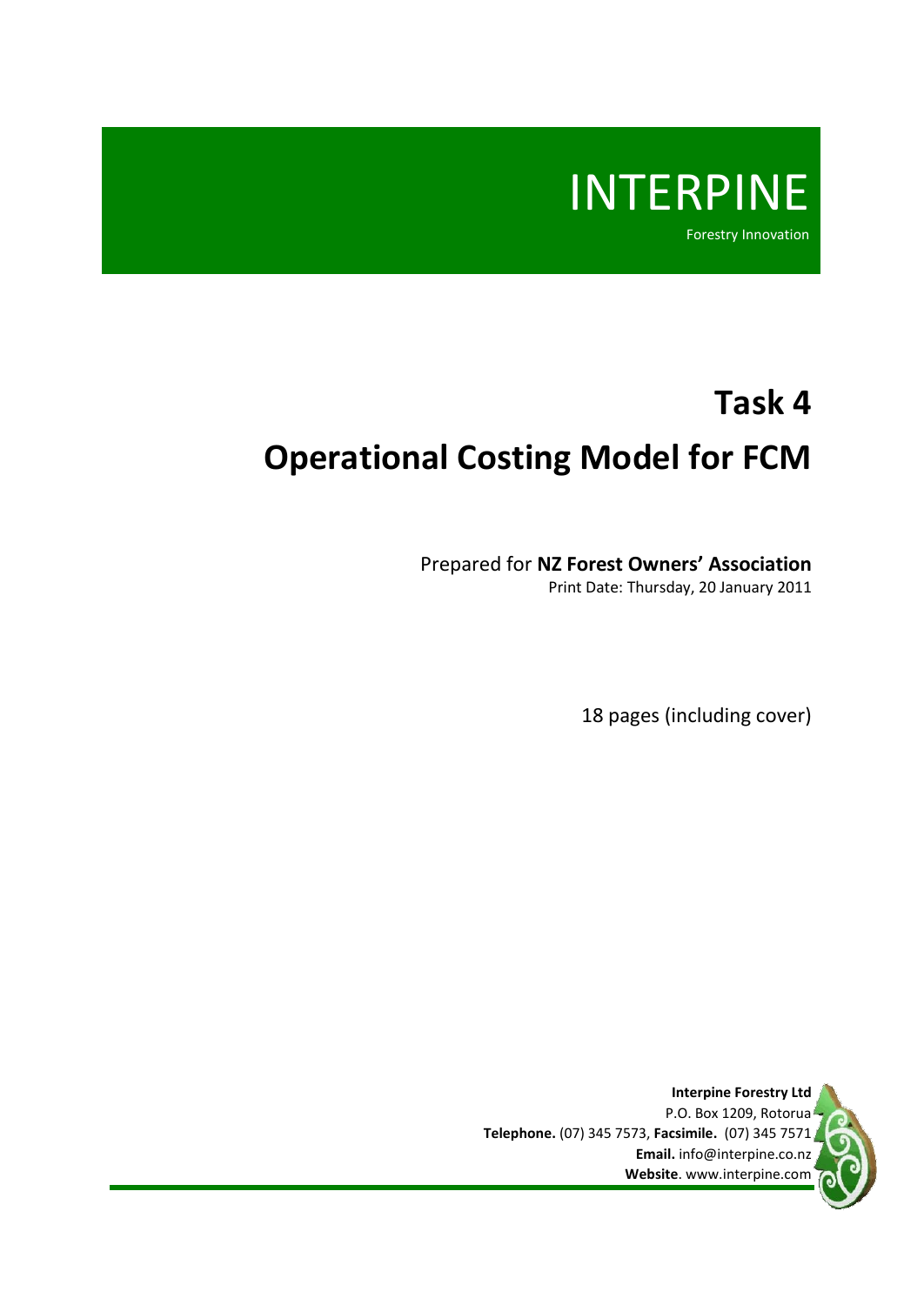

# **Task 4 Operational Costing Model for FCM**

Prepared for **NZ Forest Owners' Association**

Print Date: Thursday, 20 January 2011

18 pages (including cover)

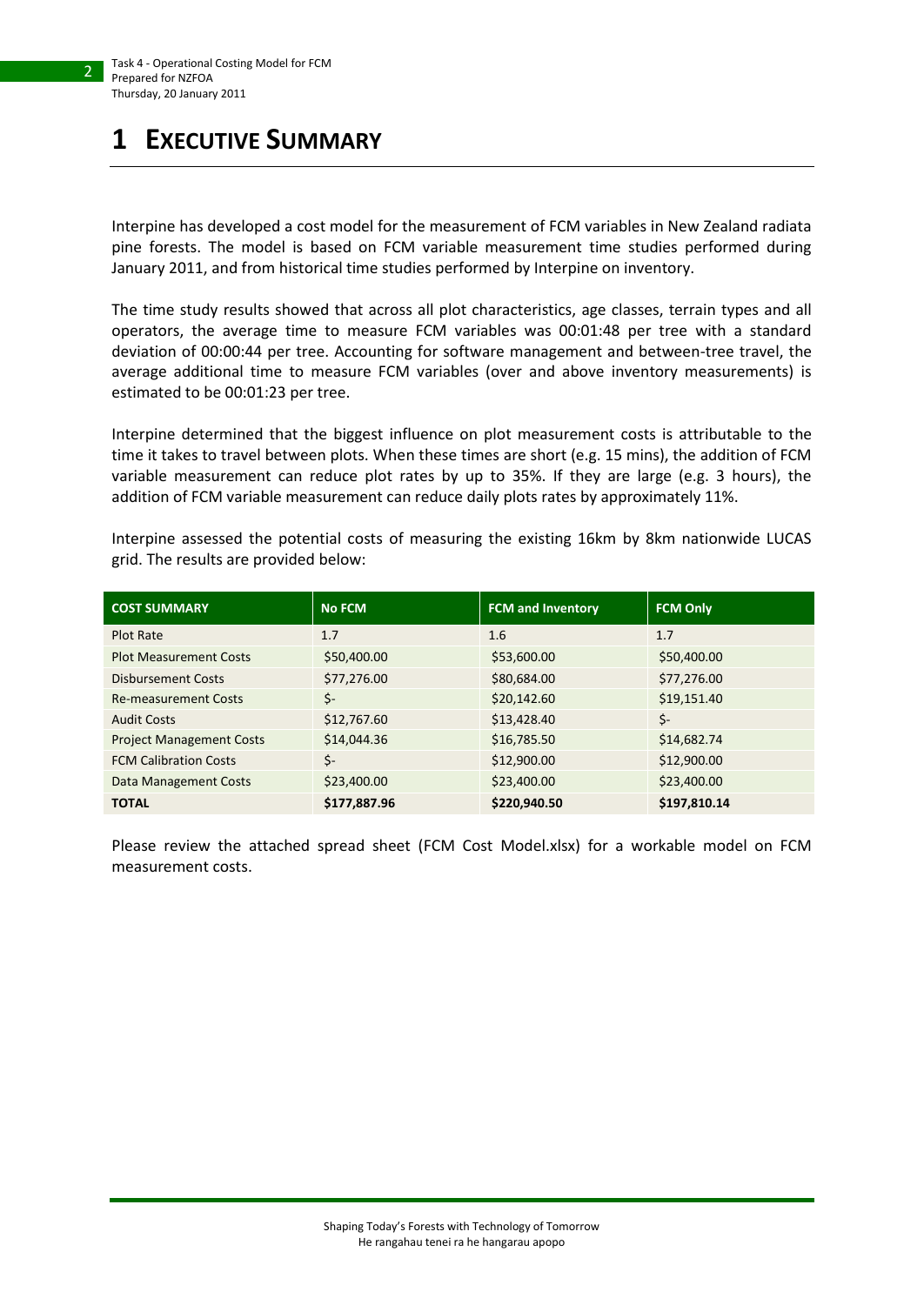# <span id="page-1-0"></span>**1 EXECUTIVE SUMMARY**

Interpine has developed a cost model for the measurement of FCM variables in New Zealand radiata pine forests. The model is based on FCM variable measurement time studies performed during January 2011, and from historical time studies performed by Interpine on inventory.

The time study results showed that across all plot characteristics, age classes, terrain types and all operators, the average time to measure FCM variables was 00:01:48 per tree with a standard deviation of 00:00:44 per tree. Accounting for software management and between-tree travel, the average additional time to measure FCM variables (over and above inventory measurements) is estimated to be 00:01:23 per tree.

Interpine determined that the biggest influence on plot measurement costs is attributable to the time it takes to travel between plots. When these times are short (e.g. 15 mins), the addition of FCM variable measurement can reduce plot rates by up to 35%. If they are large (e.g. 3 hours), the addition of FCM variable measurement can reduce daily plots rates by approximately 11%.

Interpine assessed the potential costs of measuring the existing 16km by 8km nationwide LUCAS grid. The results are provided below:

| <b>COST SUMMARY</b>             | <b>No FCM</b> | <b>FCM and Inventory</b> | <b>FCM Only</b> |
|---------------------------------|---------------|--------------------------|-----------------|
| Plot Rate                       | 1.7           | 1.6                      | 1.7             |
| <b>Plot Measurement Costs</b>   | \$50,400.00   | \$53,600.00              | \$50,400.00     |
| <b>Disbursement Costs</b>       | \$77,276.00   | \$80,684.00              | \$77,276.00     |
| <b>Re-measurement Costs</b>     | \$-           | \$20,142.60              | \$19,151.40     |
| <b>Audit Costs</b>              | \$12,767.60   | \$13,428.40              | \$-             |
| <b>Project Management Costs</b> | \$14,044.36   | \$16,785.50              | \$14,682.74     |
| <b>FCM Calibration Costs</b>    | \$-           | \$12,900.00              | \$12,900.00     |
| Data Management Costs           | \$23,400.00   | \$23,400.00              | \$23,400.00     |
| <b>TOTAL</b>                    | \$177,887.96  | \$220,940.50             | \$197,810.14    |

Please review the attached spread sheet (FCM Cost Model.xlsx) for a workable model on FCM measurement costs.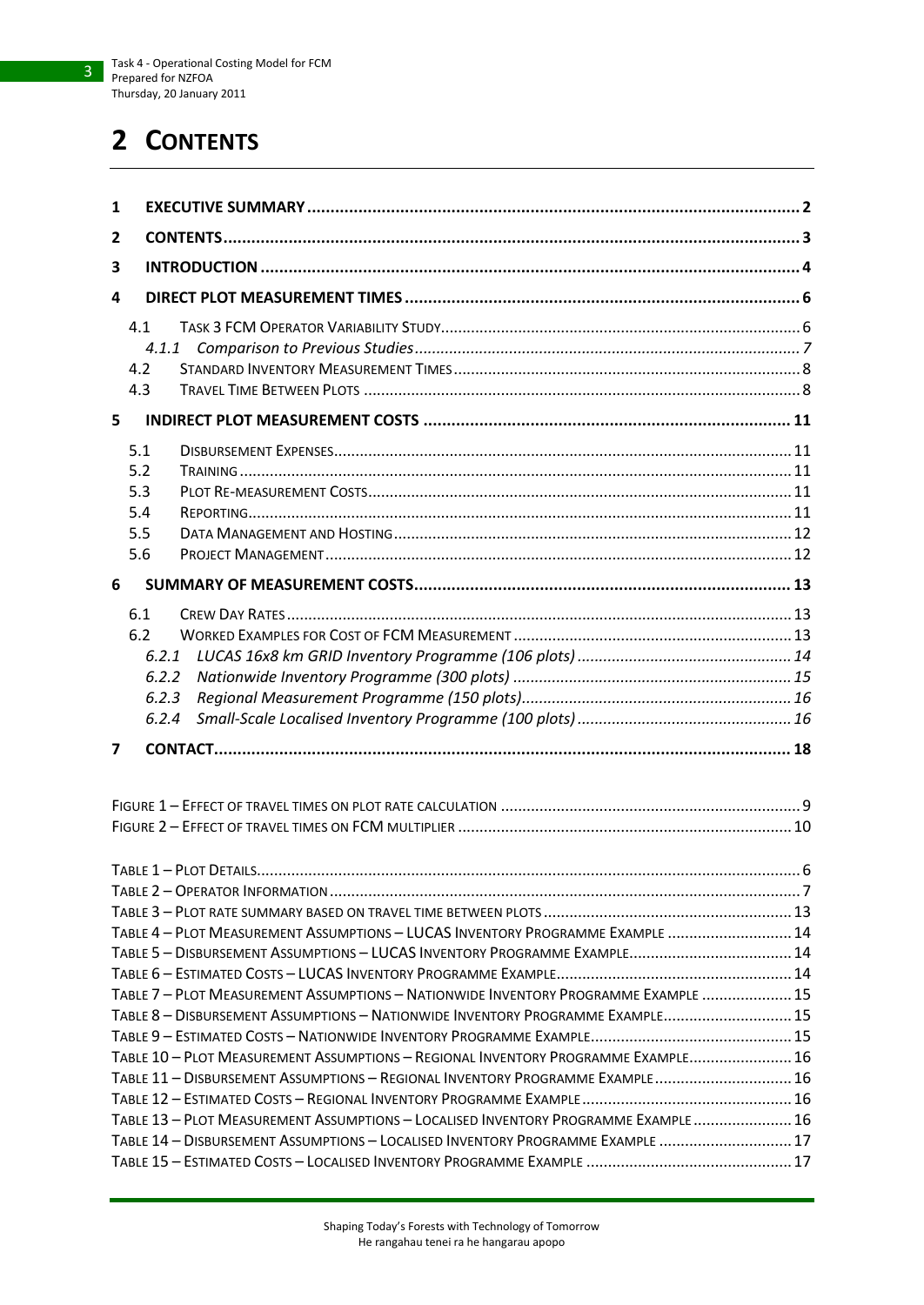# <span id="page-2-0"></span>**2 CONTENTS**

| 1                                                                                   |  |
|-------------------------------------------------------------------------------------|--|
| 2                                                                                   |  |
| 3                                                                                   |  |
| 4                                                                                   |  |
| 4.1                                                                                 |  |
| 4.1.1                                                                               |  |
| 4.2                                                                                 |  |
| 4.3                                                                                 |  |
| 5                                                                                   |  |
| 5.1                                                                                 |  |
| 5.2                                                                                 |  |
| 5.3                                                                                 |  |
| 5.4                                                                                 |  |
| 5.5                                                                                 |  |
| 5.6                                                                                 |  |
| 6                                                                                   |  |
|                                                                                     |  |
| 6.1<br>6.2                                                                          |  |
| 6.2.1                                                                               |  |
| 6.2.2                                                                               |  |
| 6.2.3                                                                               |  |
| 6.2.4                                                                               |  |
|                                                                                     |  |
| 7                                                                                   |  |
|                                                                                     |  |
|                                                                                     |  |
|                                                                                     |  |
|                                                                                     |  |
|                                                                                     |  |
|                                                                                     |  |
| TABLE 4 - PLOT MEASUREMENT ASSUMPTIONS - LUCAS INVENTORY PROGRAMME EXAMPLE  14      |  |
| TABLE 5 - DISBURSEMENT ASSUMPTIONS - LUCAS INVENTORY PROGRAMME EXAMPLE 14           |  |
|                                                                                     |  |
| TABLE 7 - PLOT MEASUREMENT ASSUMPTIONS - NATIONWIDE INVENTORY PROGRAMME EXAMPLE  15 |  |
| TABLE 8 - DISBURSEMENT ASSUMPTIONS - NATIONWIDE INVENTORY PROGRAMME EXAMPLE 15      |  |
| TABLE 10 - PLOT MEASUREMENT ASSUMPTIONS - REGIONAL INVENTORY PROGRAMME EXAMPLE 16   |  |
| TABLE 11 - DISBURSEMENT ASSUMPTIONS - REGIONAL INVENTORY PROGRAMME EXAMPLE 16       |  |
|                                                                                     |  |
| TABLE 13 - PLOT MEASUREMENT ASSUMPTIONS - LOCALISED INVENTORY PROGRAMME EXAMPLE  16 |  |
| TABLE 14 - DISBURSEMENT ASSUMPTIONS - LOCALISED INVENTORY PROGRAMME EXAMPLE  17     |  |
|                                                                                     |  |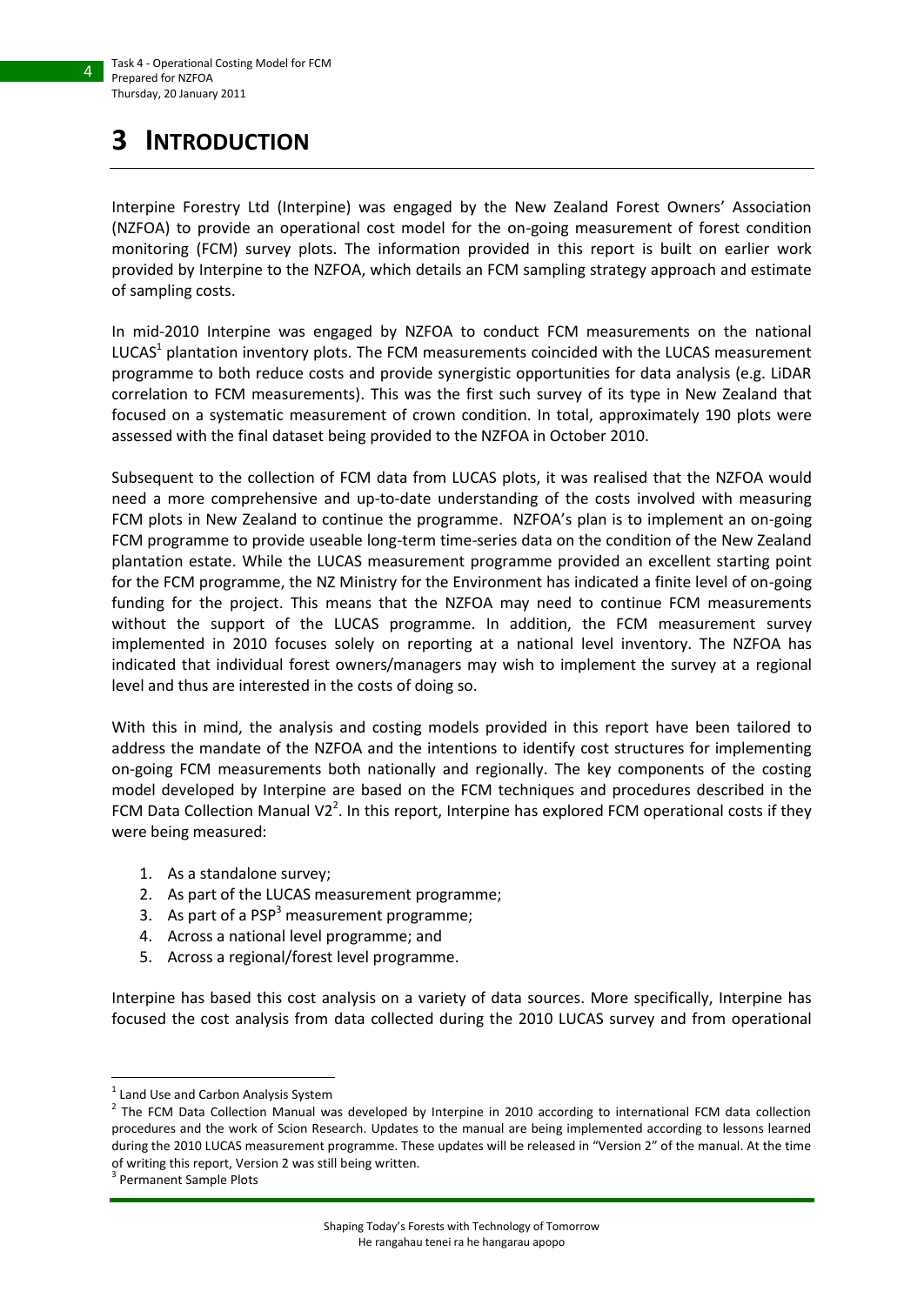# <span id="page-3-0"></span>**3 INTRODUCTION**

Interpine Forestry Ltd (Interpine) was engaged by the New Zealand Forest Owners' Association (NZFOA) to provide an operational cost model for the on-going measurement of forest condition monitoring (FCM) survey plots. The information provided in this report is built on earlier work provided by Interpine to the NZFOA, which details an FCM sampling strategy approach and estimate of sampling costs.

In mid-2010 Interpine was engaged by NZFOA to conduct FCM measurements on the national LUCAS<sup>1</sup> plantation inventory plots. The FCM measurements coincided with the LUCAS measurement programme to both reduce costs and provide synergistic opportunities for data analysis (e.g. LiDAR correlation to FCM measurements). This was the first such survey of its type in New Zealand that focused on a systematic measurement of crown condition. In total, approximately 190 plots were assessed with the final dataset being provided to the NZFOA in October 2010.

Subsequent to the collection of FCM data from LUCAS plots, it was realised that the NZFOA would need a more comprehensive and up-to-date understanding of the costs involved with measuring FCM plots in New Zealand to continue the programme. NZFOA's plan is to implement an on-going FCM programme to provide useable long-term time-series data on the condition of the New Zealand plantation estate. While the LUCAS measurement programme provided an excellent starting point for the FCM programme, the NZ Ministry for the Environment has indicated a finite level of on-going funding for the project. This means that the NZFOA may need to continue FCM measurements without the support of the LUCAS programme. In addition, the FCM measurement survey implemented in 2010 focuses solely on reporting at a national level inventory. The NZFOA has indicated that individual forest owners/managers may wish to implement the survey at a regional level and thus are interested in the costs of doing so.

With this in mind, the analysis and costing models provided in this report have been tailored to address the mandate of the NZFOA and the intentions to identify cost structures for implementing on-going FCM measurements both nationally and regionally. The key components of the costing model developed by Interpine are based on the FCM techniques and procedures described in the FCM Data Collection Manual V2<sup>2</sup>. In this report, Interpine has explored FCM operational costs if they were being measured:

- 1. As a standalone survey;
- 2. As part of the LUCAS measurement programme;
- 3. As part of a  $PSP<sup>3</sup>$  measurement programme;
- 4. Across a national level programme; and
- 5. Across a regional/forest level programme.

Interpine has based this cost analysis on a variety of data sources. More specifically, Interpine has focused the cost analysis from data collected during the 2010 LUCAS survey and from operational

**.** 

<sup>&</sup>lt;sup>1</sup> Land Use and Carbon Analysis System

 $<sup>2</sup>$  The FCM Data Collection Manual was developed by Interpine in 2010 according to international FCM data collection</sup> procedures and the work of Scion Research. Updates to the manual are being implemented according to lessons learned during the 2010 LUCAS measurement programme. These updates will be released in "Version 2" of the manual. At the time of writing this report, Version 2 was still being written.

<sup>3</sup> Permanent Sample Plots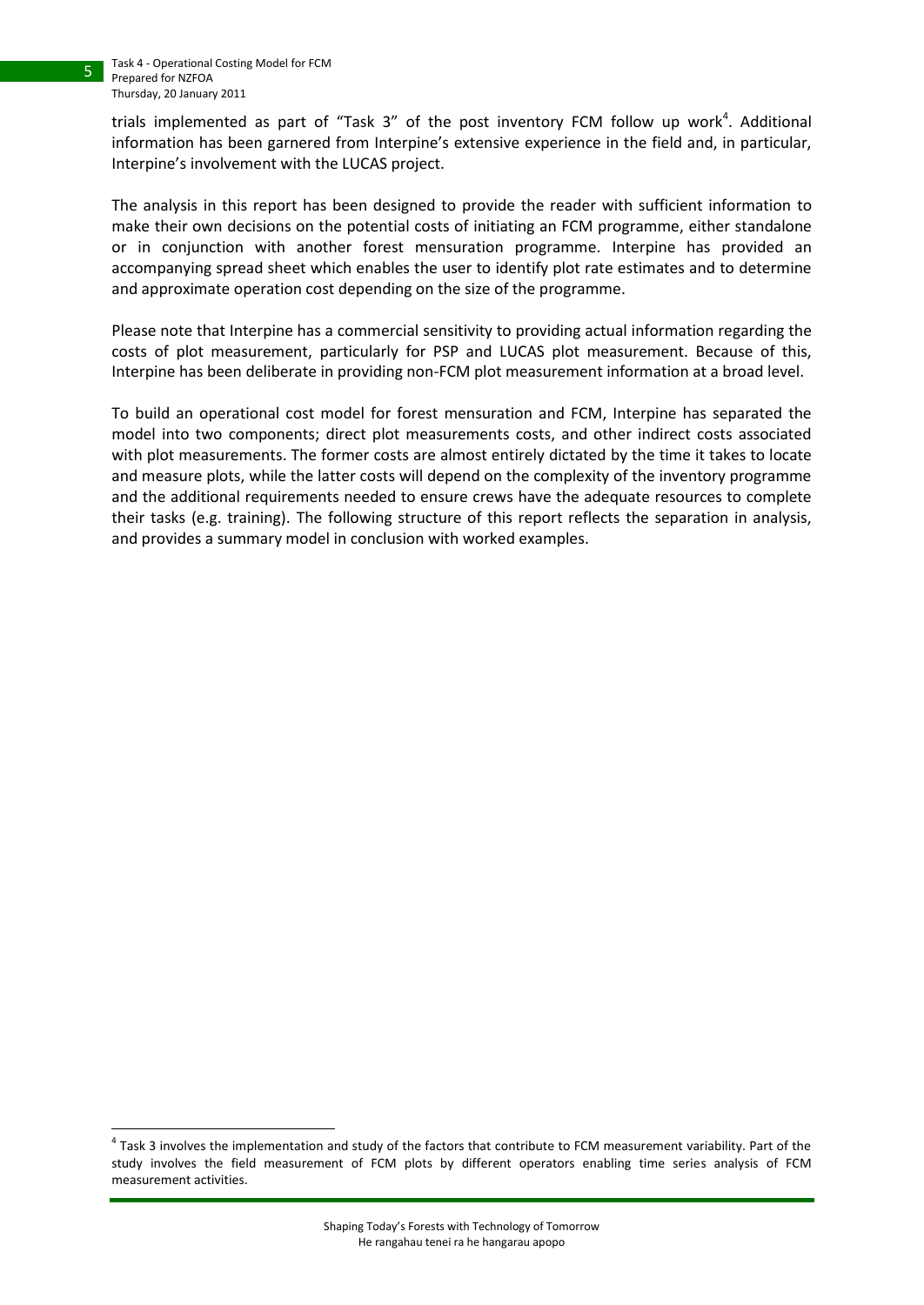**.** 

trials implemented as part of "Task 3" of the post inventory FCM follow up work<sup>4</sup>. Additional information has been garnered from Interpine's extensive experience in the field and, in particular, Interpine's involvement with the LUCAS project.

The analysis in this report has been designed to provide the reader with sufficient information to make their own decisions on the potential costs of initiating an FCM programme, either standalone or in conjunction with another forest mensuration programme. Interpine has provided an accompanying spread sheet which enables the user to identify plot rate estimates and to determine and approximate operation cost depending on the size of the programme.

Please note that Interpine has a commercial sensitivity to providing actual information regarding the costs of plot measurement, particularly for PSP and LUCAS plot measurement. Because of this, Interpine has been deliberate in providing non-FCM plot measurement information at a broad level.

To build an operational cost model for forest mensuration and FCM, Interpine has separated the model into two components; direct plot measurements costs, and other indirect costs associated with plot measurements. The former costs are almost entirely dictated by the time it takes to locate and measure plots, while the latter costs will depend on the complexity of the inventory programme and the additional requirements needed to ensure crews have the adequate resources to complete their tasks (e.g. training). The following structure of this report reflects the separation in analysis, and provides a summary model in conclusion with worked examples.

 $^4$  Task 3 involves the implementation and study of the factors that contribute to FCM measurement variability. Part of the study involves the field measurement of FCM plots by different operators enabling time series analysis of FCM measurement activities.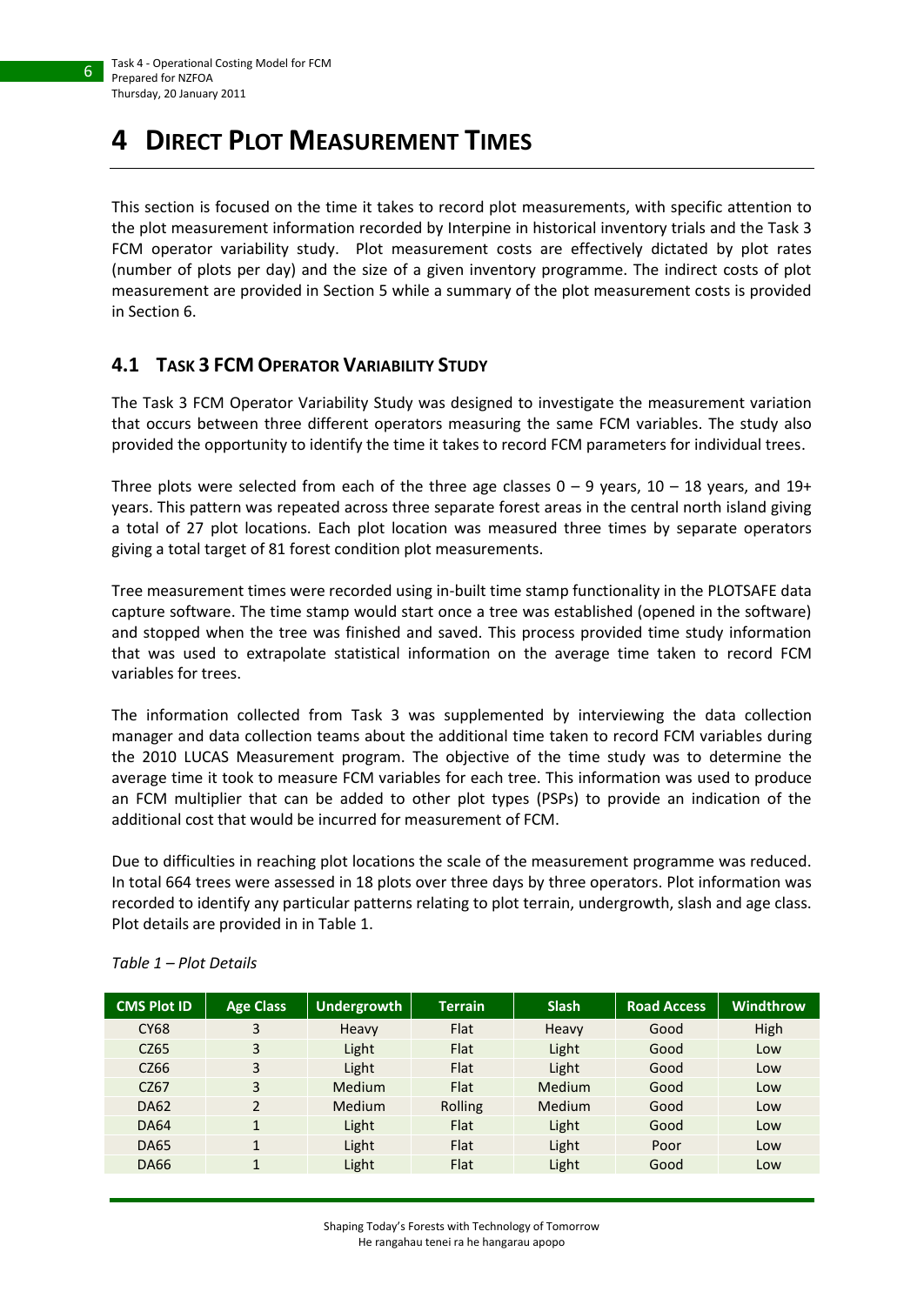# <span id="page-5-0"></span>**4 DIRECT PLOT MEASUREMENT TIMES**

This section is focused on the time it takes to record plot measurements, with specific attention to the plot measurement information recorded by Interpine in historical inventory trials and the Task 3 FCM operator variability study. Plot measurement costs are effectively dictated by plot rates (number of plots per day) and the size of a given inventory programme. The indirect costs of plot measurement are provided in Section [5](#page-10-0) while a summary of the plot measurement costs is provided in Section [6.](#page-12-0)

# <span id="page-5-1"></span>**4.1 TASK 3 FCM OPERATOR VARIABILITY STUDY**

The Task 3 FCM Operator Variability Study was designed to investigate the measurement variation that occurs between three different operators measuring the same FCM variables. The study also provided the opportunity to identify the time it takes to record FCM parameters for individual trees.

Three plots were selected from each of the three age classes  $0 - 9$  years,  $10 - 18$  years, and  $19+$ years. This pattern was repeated across three separate forest areas in the central north island giving a total of 27 plot locations. Each plot location was measured three times by separate operators giving a total target of 81 forest condition plot measurements.

Tree measurement times were recorded using in-built time stamp functionality in the PLOTSAFE data capture software. The time stamp would start once a tree was established (opened in the software) and stopped when the tree was finished and saved. This process provided time study information that was used to extrapolate statistical information on the average time taken to record FCM variables for trees.

The information collected from Task 3 was supplemented by interviewing the data collection manager and data collection teams about the additional time taken to record FCM variables during the 2010 LUCAS Measurement program. The objective of the time study was to determine the average time it took to measure FCM variables for each tree. This information was used to produce an FCM multiplier that can be added to other plot types (PSPs) to provide an indication of the additional cost that would be incurred for measurement of FCM.

Due to difficulties in reaching plot locations the scale of the measurement programme was reduced. In total 664 trees were assessed in 18 plots over three days by three operators. Plot information was recorded to identify any particular patterns relating to plot terrain, undergrowth, slash and age class. Plot details are provided in in [Table 1.](#page-5-2)

| <b>CMS Plot ID</b> | <b>Age Class</b> | Undergrowth | <b>Terrain</b> | <b>Slash</b> | <b>Road Access</b> | Windthrow |
|--------------------|------------------|-------------|----------------|--------------|--------------------|-----------|
| <b>CY68</b>        | 3                | Heavy       | Flat           | Heavy        | Good               | High      |
| CZ65               | 3                | Light       | Flat           | Light        | Good               | Low       |
| CZ66               | 3                | Light       | Flat           | Light        | Good               | Low       |
| C <sub>267</sub>   | 3                | Medium      | Flat           | Medium       | Good               | Low       |
| <b>DA62</b>        | $\mathcal{P}$    | Medium      | Rolling        | Medium       | Good               | Low       |
| <b>DA64</b>        | $\mathbf 1$      | Light       | Flat           | Light        | Good               | Low       |
| <b>DA65</b>        | 1                | Light       | Flat           | Light        | Poor               | Low       |
| DA66               | $\mathbf{1}$     | Light       | Flat           | Light        | Good               | Low       |

#### <span id="page-5-2"></span>*Table 1 – Plot Details*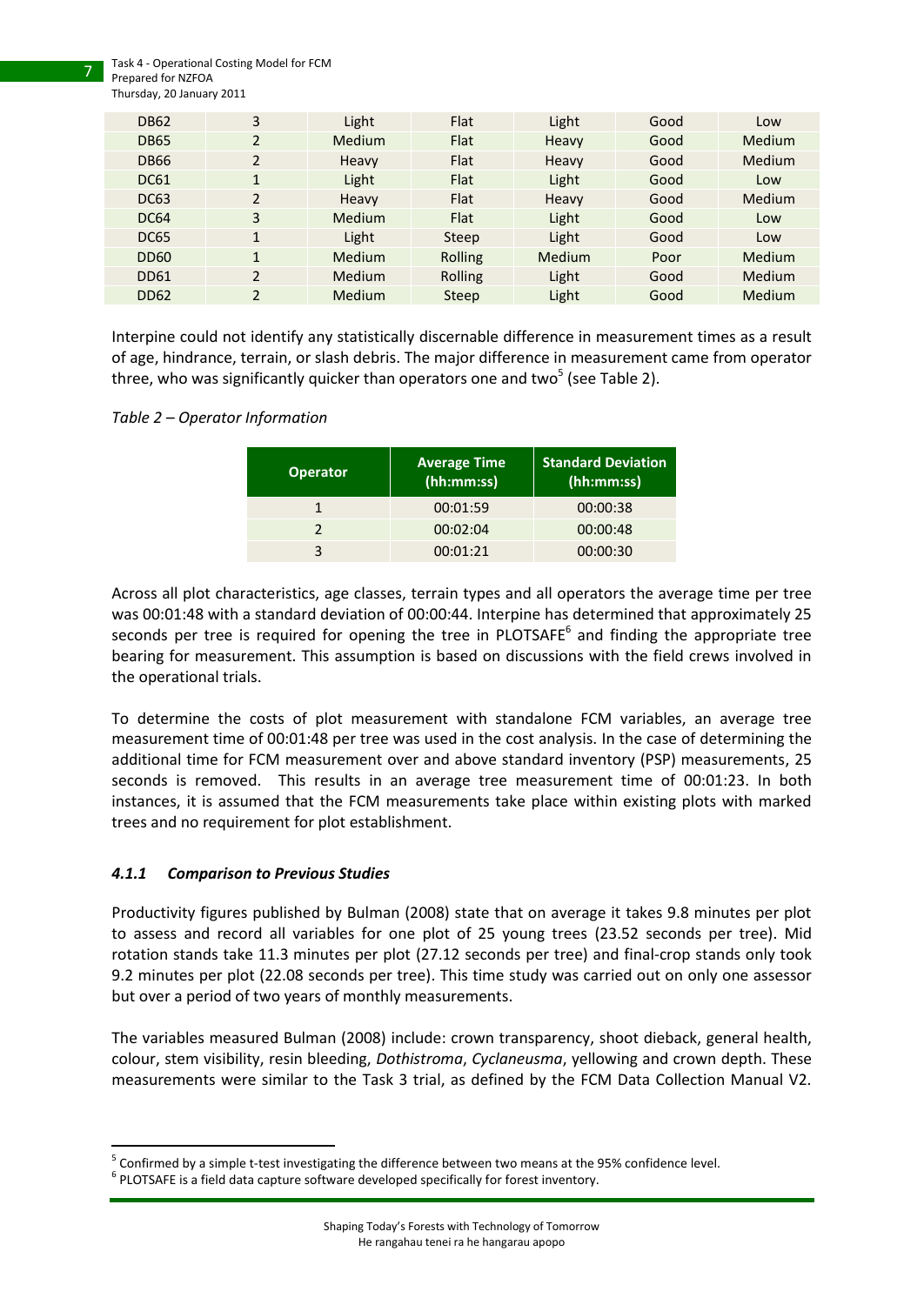Task 4 - Operational Costing Model for FCM Prepared for NZFOA

7

| <b>DB62</b>      | 3              | Light  | Flat    | Light  | Good | Low           |
|------------------|----------------|--------|---------|--------|------|---------------|
| <b>DB65</b>      | $\overline{2}$ | Medium | Flat    | Heavy  | Good | <b>Medium</b> |
| DB <sub>66</sub> | 2              | Heavy  | Flat    | Heavy  | Good | <b>Medium</b> |
| <b>DC61</b>      | $\mathbf 1$    | Light  | Flat    | Light  | Good | Low           |
| <b>DC63</b>      | $\overline{2}$ | Heavy  | Flat    | Heavy  | Good | <b>Medium</b> |
| <b>DC64</b>      | 3              | Medium | Flat    | Light  | Good | Low           |
| <b>DC65</b>      | $\mathbf{1}$   | Light  | Steep   | Light  | Good | Low           |
| DD <sub>60</sub> | 1              | Medium | Rolling | Medium | Poor | <b>Medium</b> |
| <b>DD61</b>      | $\overline{2}$ | Medium | Rolling | Light  | Good | <b>Medium</b> |
| <b>DD62</b>      | 2              | Medium | Steep   | Light  | Good | Medium        |
|                  |                |        |         |        |      |               |

Interpine could not identify any statistically discernable difference in measurement times as a result of age, hindrance, terrain, or slash debris. The major difference in measurement came from operator three, who was significantly quicker than operators one and two<sup>5</sup> (see [Table 2\)](#page-6-1).

#### <span id="page-6-1"></span>*Table 2 – Operator Information*

| <b>Operator</b> | <b>Average Time</b><br>(hh:mm:ss) | <b>Standard Deviation</b><br>(hh:mm:ss) |
|-----------------|-----------------------------------|-----------------------------------------|
|                 | 00:01:59                          | 00:00:38                                |
|                 | 00:02:04                          | 00:00:48                                |
|                 | 00:01:21                          | 00:00:30                                |

Across all plot characteristics, age classes, terrain types and all operators the average time per tree was 00:01:48 with a standard deviation of 00:00:44. Interpine has determined that approximately 25 seconds per tree is required for opening the tree in PLOTSAFE<sup>6</sup> and finding the appropriate tree bearing for measurement. This assumption is based on discussions with the field crews involved in the operational trials.

To determine the costs of plot measurement with standalone FCM variables, an average tree measurement time of 00:01:48 per tree was used in the cost analysis. In the case of determining the additional time for FCM measurement over and above standard inventory (PSP) measurements, 25 seconds is removed. This results in an average tree measurement time of 00:01:23. In both instances, it is assumed that the FCM measurements take place within existing plots with marked trees and no requirement for plot establishment.

#### <span id="page-6-0"></span>*4.1.1 Comparison to Previous Studies*

1

Productivity figures published by Bulman (2008) state that on average it takes 9.8 minutes per plot to assess and record all variables for one plot of 25 young trees (23.52 seconds per tree). Mid rotation stands take 11.3 minutes per plot (27.12 seconds per tree) and final-crop stands only took 9.2 minutes per plot (22.08 seconds per tree). This time study was carried out on only one assessor but over a period of two years of monthly measurements.

The variables measured Bulman (2008) include: crown transparency, shoot dieback, general health, colour, stem visibility, resin bleeding, *Dothistroma*, *Cyclaneusma*, yellowing and crown depth. These measurements were similar to the Task 3 trial, as defined by the FCM Data Collection Manual V2.

<sup>&</sup>lt;sup>5</sup> Confirmed by a simple t-test investigating the difference between two means at the 95% confidence level.

 $6$  PLOTSAFE is a field data capture software developed specifically for forest inventory.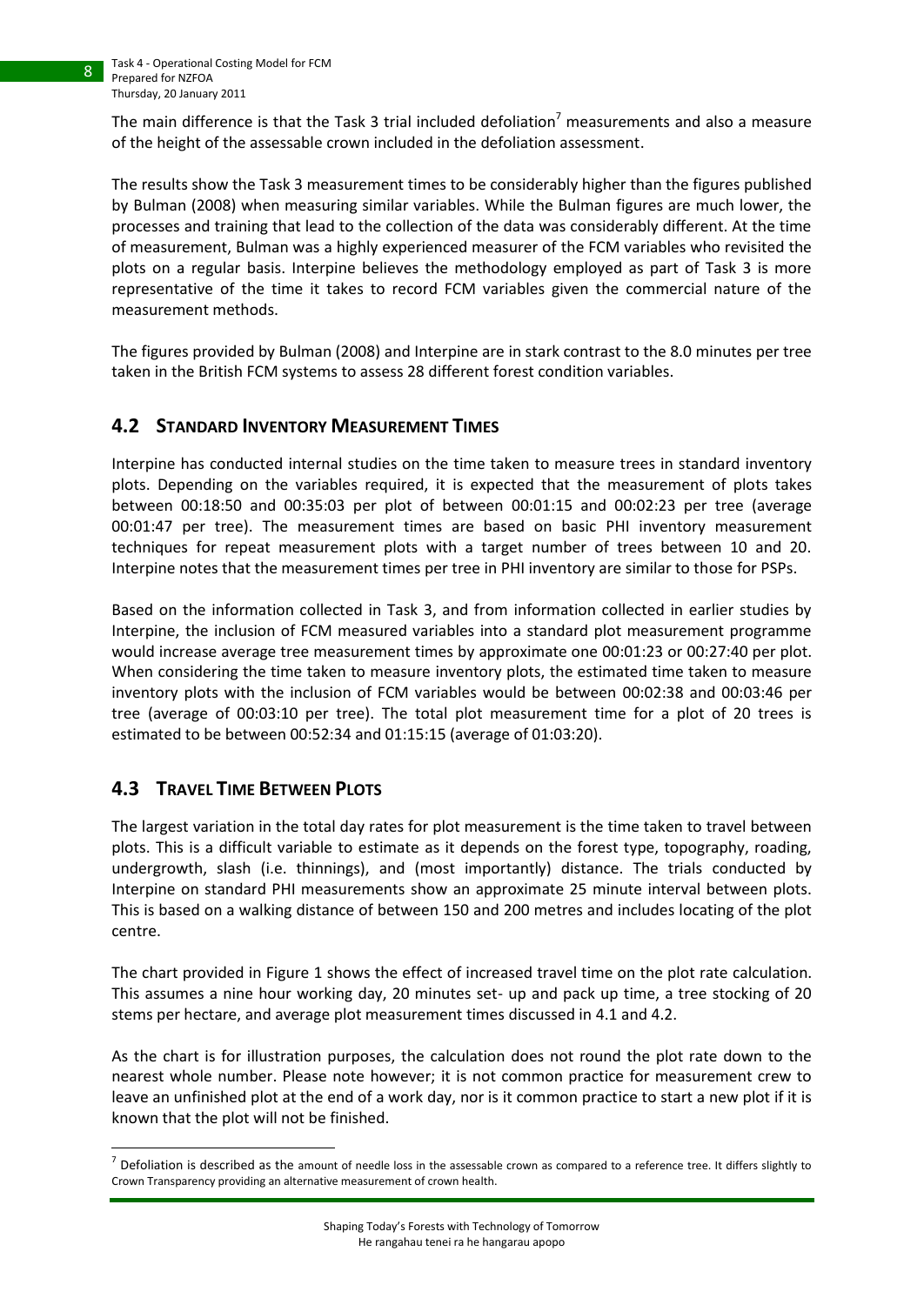The main difference is that the Task 3 trial included defoliation<sup>7</sup> measurements and also a measure of the height of the assessable crown included in the defoliation assessment.

The results show the Task 3 measurement times to be considerably higher than the figures published by Bulman (2008) when measuring similar variables. While the Bulman figures are much lower, the processes and training that lead to the collection of the data was considerably different. At the time of measurement, Bulman was a highly experienced measurer of the FCM variables who revisited the plots on a regular basis. Interpine believes the methodology employed as part of Task 3 is more representative of the time it takes to record FCM variables given the commercial nature of the measurement methods.

The figures provided by Bulman (2008) and Interpine are in stark contrast to the 8.0 minutes per tree taken in the British FCM systems to assess 28 different forest condition variables.

### <span id="page-7-0"></span>**4.2 STANDARD INVENTORY MEASUREMENT TIMES**

Interpine has conducted internal studies on the time taken to measure trees in standard inventory plots. Depending on the variables required, it is expected that the measurement of plots takes between 00:18:50 and 00:35:03 per plot of between 00:01:15 and 00:02:23 per tree (average 00:01:47 per tree). The measurement times are based on basic PHI inventory measurement techniques for repeat measurement plots with a target number of trees between 10 and 20. Interpine notes that the measurement times per tree in PHI inventory are similar to those for PSPs.

Based on the information collected in Task 3, and from information collected in earlier studies by Interpine, the inclusion of FCM measured variables into a standard plot measurement programme would increase average tree measurement times by approximate one 00:01:23 or 00:27:40 per plot. When considering the time taken to measure inventory plots, the estimated time taken to measure inventory plots with the inclusion of FCM variables would be between 00:02:38 and 00:03:46 per tree (average of 00:03:10 per tree). The total plot measurement time for a plot of 20 trees is estimated to be between 00:52:34 and 01:15:15 (average of 01:03:20).

### <span id="page-7-1"></span>**4.3 TRAVEL TIME BETWEEN PLOTS**

The largest variation in the total day rates for plot measurement is the time taken to travel between plots. This is a difficult variable to estimate as it depends on the forest type, topography, roading, undergrowth, slash (i.e. thinnings), and (most importantly) distance. The trials conducted by Interpine on standard PHI measurements show an approximate 25 minute interval between plots. This is based on a walking distance of between 150 and 200 metres and includes locating of the plot centre.

The chart provided in [Figure 1](#page-8-0) shows the effect of increased travel time on the plot rate calculation. This assumes a nine hour working day, 20 minutes set- up and pack up time, a tree stocking of 20 stems per hectare, and average plot measurement times discussed in [4.1](#page-5-1) and [4.2.](#page-7-0)

As the chart is for illustration purposes, the calculation does not round the plot rate down to the nearest whole number. Please note however; it is not common practice for measurement crew to leave an unfinished plot at the end of a work day, nor is it common practice to start a new plot if it is known that the plot will not be finished.

 7 Defoliation is described as the amount of needle loss in the assessable crown as compared to a reference tree. It differs slightly to Crown Transparency providing an alternative measurement of crown health.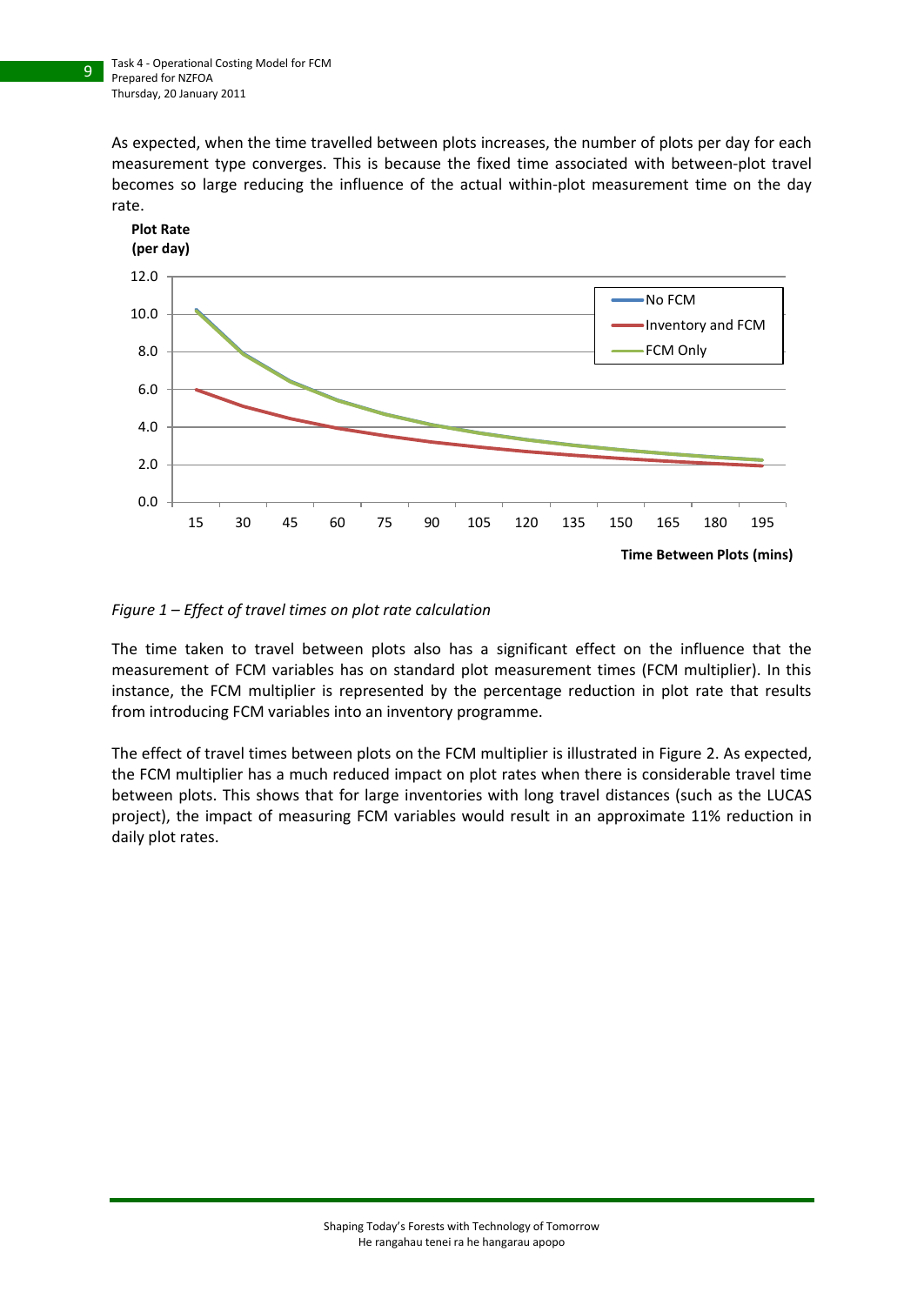As expected, when the time travelled between plots increases, the number of plots per day for each measurement type converges. This is because the fixed time associated with between-plot travel becomes so large reducing the influence of the actual within-plot measurement time on the day rate.



#### <span id="page-8-0"></span>*Figure 1 – Effect of travel times on plot rate calculation*

The time taken to travel between plots also has a significant effect on the influence that the measurement of FCM variables has on standard plot measurement times (FCM multiplier). In this instance, the FCM multiplier is represented by the percentage reduction in plot rate that results from introducing FCM variables into an inventory programme.

The effect of travel times between plots on the FCM multiplier is illustrated i[n Figure 2.](#page-9-0) As expected, the FCM multiplier has a much reduced impact on plot rates when there is considerable travel time between plots. This shows that for large inventories with long travel distances (such as the LUCAS project), the impact of measuring FCM variables would result in an approximate 11% reduction in daily plot rates.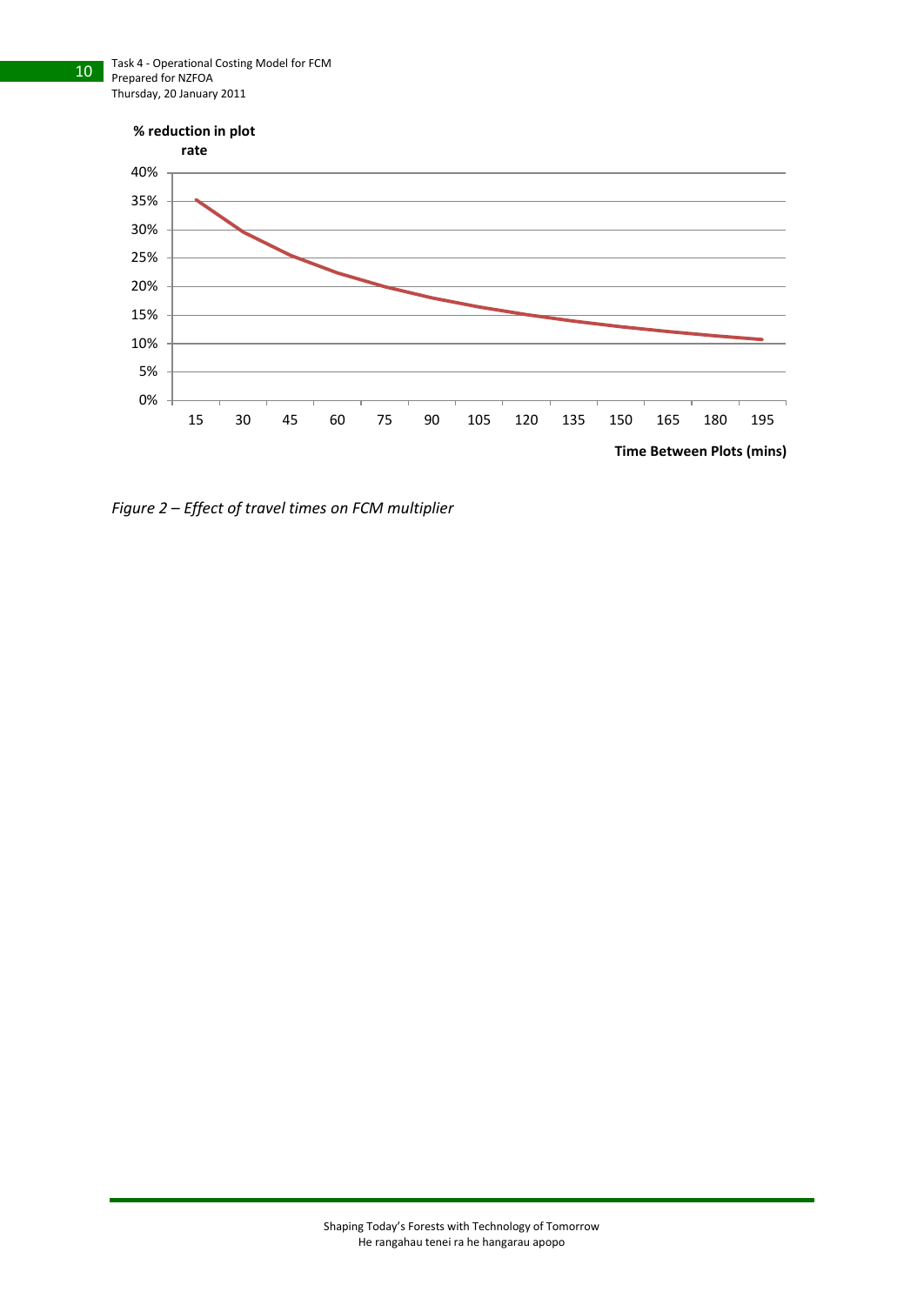

<span id="page-9-0"></span>*Figure 2 – Effect of travel times on FCM multiplier*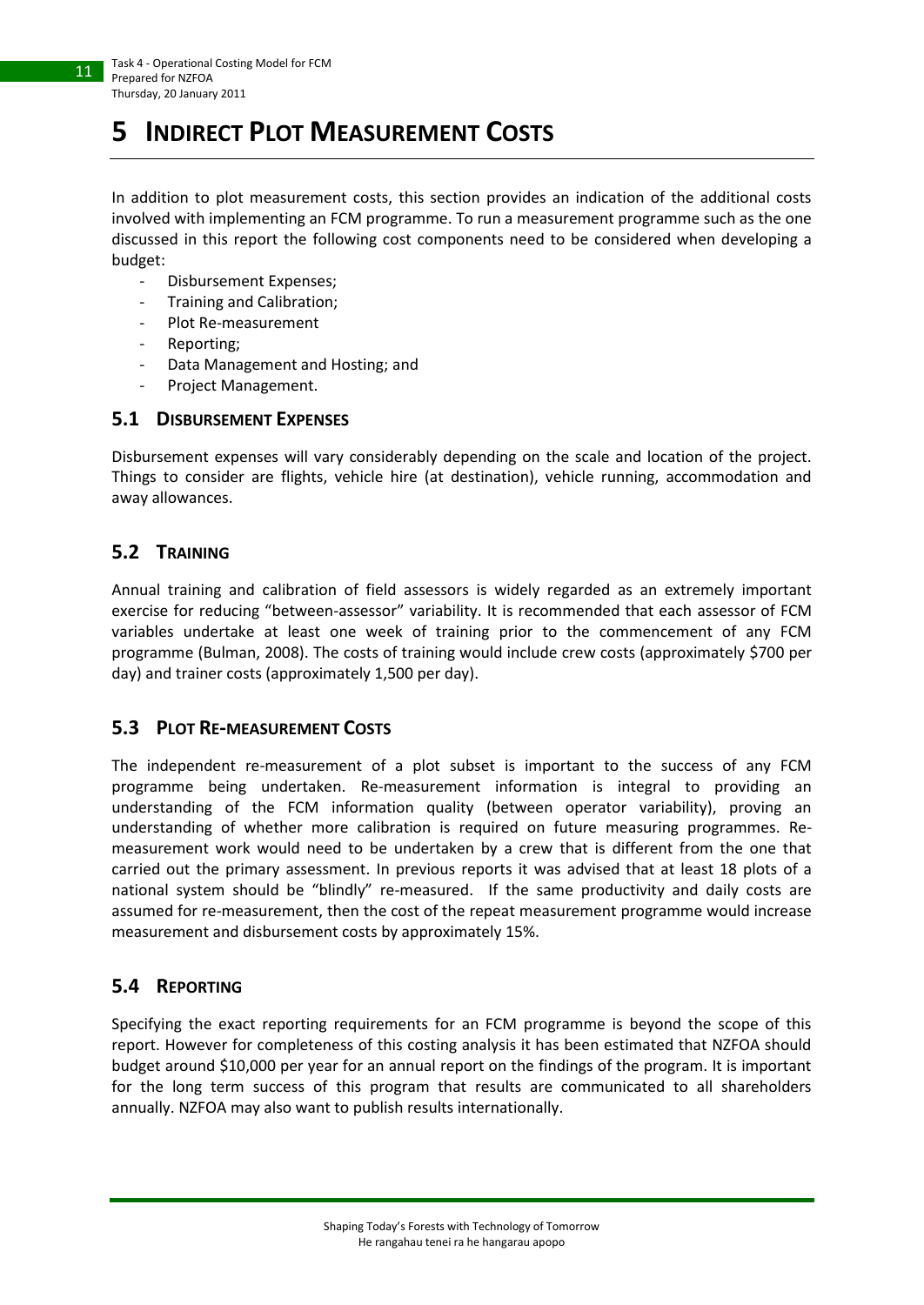# <span id="page-10-0"></span>**5 INDIRECT PLOT MEASUREMENT COSTS**

In addition to plot measurement costs, this section provides an indication of the additional costs involved with implementing an FCM programme. To run a measurement programme such as the one discussed in this report the following cost components need to be considered when developing a budget:

- Disbursement Expenses;
- Training and Calibration;
- Plot Re-measurement
- Reporting:
- Data Management and Hosting; and
- Project Management.

### <span id="page-10-1"></span>**5.1 DISBURSEMENT EXPENSES**

Disbursement expenses will vary considerably depending on the scale and location of the project. Things to consider are flights, vehicle hire (at destination), vehicle running, accommodation and away allowances.

## <span id="page-10-2"></span>**5.2 TRAINING**

Annual training and calibration of field assessors is widely regarded as an extremely important exercise for reducing "between-assessor" variability. It is recommended that each assessor of FCM variables undertake at least one week of training prior to the commencement of any FCM programme (Bulman, 2008). The costs of training would include crew costs (approximately \$700 per day) and trainer costs (approximately 1,500 per day).

#### <span id="page-10-3"></span>**5.3 PLOT RE-MEASUREMENT COSTS**

The independent re-measurement of a plot subset is important to the success of any FCM programme being undertaken. Re-measurement information is integral to providing an understanding of the FCM information quality (between operator variability), proving an understanding of whether more calibration is required on future measuring programmes. Remeasurement work would need to be undertaken by a crew that is different from the one that carried out the primary assessment. In previous reports it was advised that at least 18 plots of a national system should be "blindly" re-measured. If the same productivity and daily costs are assumed for re-measurement, then the cost of the repeat measurement programme would increase measurement and disbursement costs by approximately 15%.

### <span id="page-10-4"></span>**5.4 REPORTING**

Specifying the exact reporting requirements for an FCM programme is beyond the scope of this report. However for completeness of this costing analysis it has been estimated that NZFOA should budget around \$10,000 per year for an annual report on the findings of the program. It is important for the long term success of this program that results are communicated to all shareholders annually. NZFOA may also want to publish results internationally.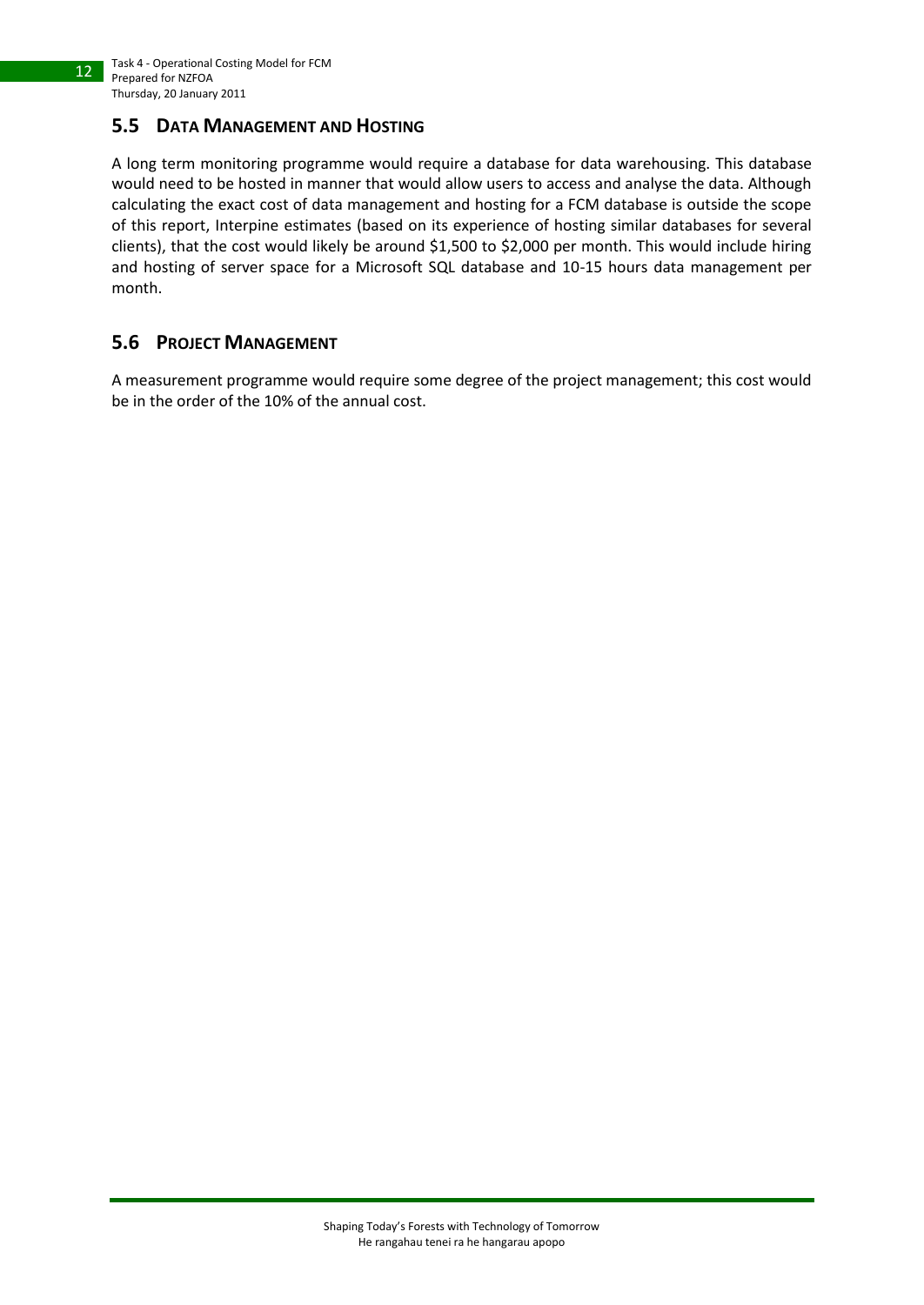### <span id="page-11-0"></span>**5.5 DATA MANAGEMENT AND HOSTING**

A long term monitoring programme would require a database for data warehousing. This database would need to be hosted in manner that would allow users to access and analyse the data. Although calculating the exact cost of data management and hosting for a FCM database is outside the scope of this report, Interpine estimates (based on its experience of hosting similar databases for several clients), that the cost would likely be around \$1,500 to \$2,000 per month. This would include hiring and hosting of server space for a Microsoft SQL database and 10-15 hours data management per month.

## <span id="page-11-1"></span>**5.6 PROJECT MANAGEMENT**

A measurement programme would require some degree of the project management; this cost would be in the order of the 10% of the annual cost.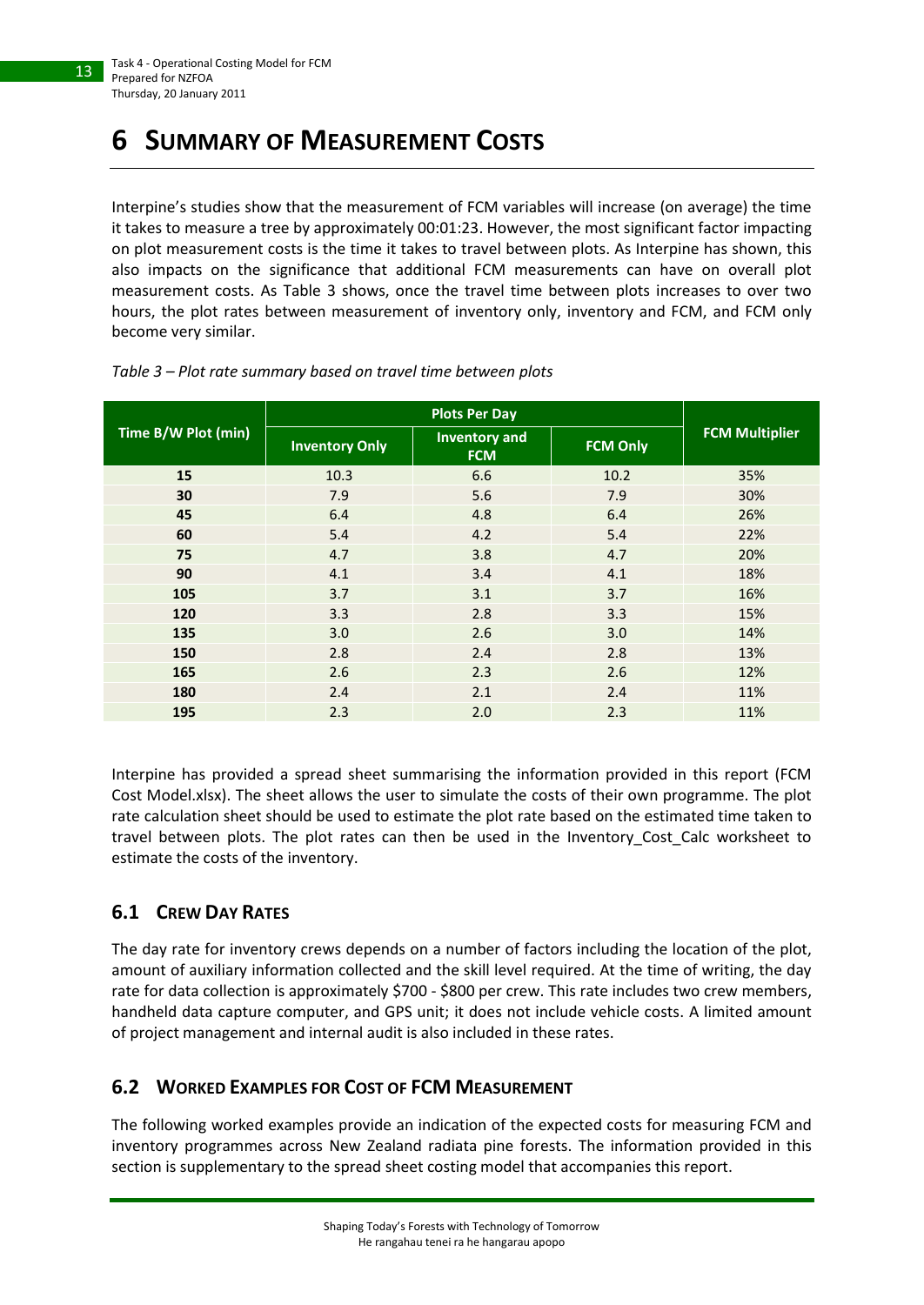# <span id="page-12-0"></span>**6 SUMMARY OF MEASUREMENT COSTS**

Interpine's studies show that the measurement of FCM variables will increase (on average) the time it takes to measure a tree by approximately 00:01:23. However, the most significant factor impacting on plot measurement costs is the time it takes to travel between plots. As Interpine has shown, this also impacts on the significance that additional FCM measurements can have on overall plot measurement costs. As [Table 3](#page-12-3) shows, once the travel time between plots increases to over two hours, the plot rates between measurement of inventory only, inventory and FCM, and FCM only become very similar.

| Time B/W Plot (min) | <b>Inventory Only</b> | <b>Inventory and</b><br><b>FCM</b> | <b>FCM Only</b> | <b>FCM Multiplier</b> |
|---------------------|-----------------------|------------------------------------|-----------------|-----------------------|
| 15                  | 10.3                  | 6.6                                | 10.2            | 35%                   |
| 30                  | 7.9                   | 5.6                                | 7.9             | 30%                   |
| 45                  | 6.4                   | 4.8                                | 6.4             | 26%                   |
| 60                  | 5.4                   | 4.2                                | 5.4             | 22%                   |
| 75                  | 4.7                   | 3.8                                | 4.7             | 20%                   |
| 90                  | 4.1                   | 3.4                                | 4.1             | 18%                   |
| 105                 | 3.7                   | 3.1                                | 3.7             | 16%                   |
| 120                 | 3.3                   | 2.8                                | 3.3             | 15%                   |
| 135                 | 3.0                   | 2.6                                | 3.0             | 14%                   |
| 150                 | 2.8                   | 2.4                                | 2.8             | 13%                   |
| 165                 | 2.6                   | 2.3                                | 2.6             | 12%                   |
| 180                 | 2.4                   | 2.1                                | 2.4             | 11%                   |
| 195                 | 2.3                   | 2.0                                | 2.3             | 11%                   |

#### <span id="page-12-3"></span>*Table 3 – Plot rate summary based on travel time between plots*

Interpine has provided a spread sheet summarising the information provided in this report (FCM Cost Model.xlsx). The sheet allows the user to simulate the costs of their own programme. The plot rate calculation sheet should be used to estimate the plot rate based on the estimated time taken to travel between plots. The plot rates can then be used in the Inventory\_Cost\_Calc worksheet to estimate the costs of the inventory.

# <span id="page-12-1"></span>**6.1 CREW DAY RATES**

The day rate for inventory crews depends on a number of factors including the location of the plot, amount of auxiliary information collected and the skill level required. At the time of writing, the day rate for data collection is approximately \$700 - \$800 per crew. This rate includes two crew members, handheld data capture computer, and GPS unit; it does not include vehicle costs. A limited amount of project management and internal audit is also included in these rates.

# <span id="page-12-2"></span>**6.2 WORKED EXAMPLES FOR COST OF FCM MEASUREMENT**

The following worked examples provide an indication of the expected costs for measuring FCM and inventory programmes across New Zealand radiata pine forests. The information provided in this section is supplementary to the spread sheet costing model that accompanies this report.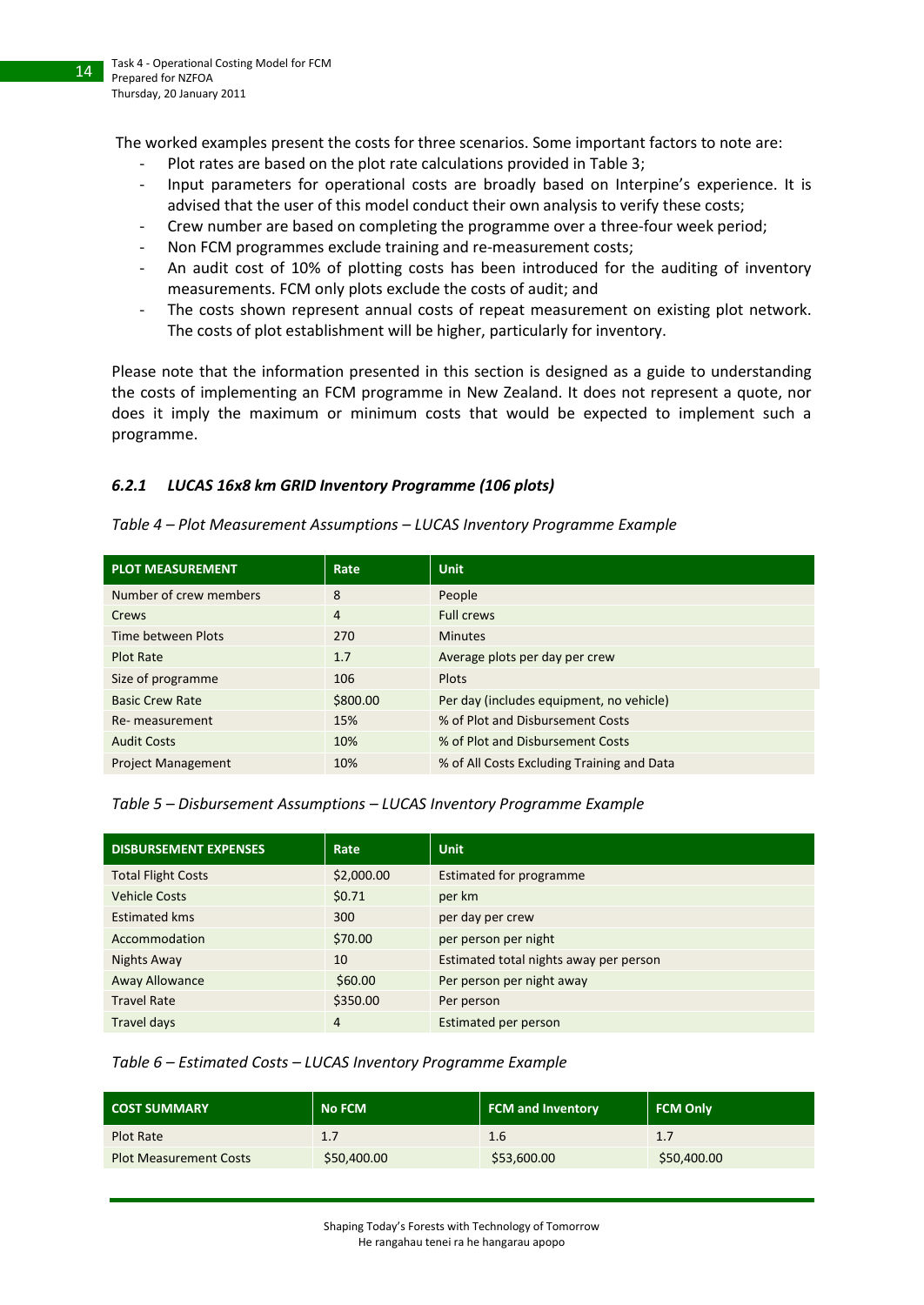The worked examples present the costs for three scenarios. Some important factors to note are:

- Plot rates are based on the plot rate calculations provided in [Table 3;](#page-12-3)
- Input parameters for operational costs are broadly based on Interpine's experience. It is advised that the user of this model conduct their own analysis to verify these costs;
- Crew number are based on completing the programme over a three-four week period;
- Non FCM programmes exclude training and re-measurement costs;
- An audit cost of 10% of plotting costs has been introduced for the auditing of inventory measurements. FCM only plots exclude the costs of audit; and
- The costs shown represent annual costs of repeat measurement on existing plot network. The costs of plot establishment will be higher, particularly for inventory.

Please note that the information presented in this section is designed as a guide to understanding the costs of implementing an FCM programme in New Zealand. It does not represent a quote, nor does it imply the maximum or minimum costs that would be expected to implement such a programme.

### <span id="page-13-0"></span>*6.2.1 LUCAS 16x8 km GRID Inventory Programme (106 plots)*

#### <span id="page-13-1"></span>*Table 4 – Plot Measurement Assumptions – LUCAS Inventory Programme Example*

| <b>PLOT MEASUREMENT</b>   | Rate     | <b>Unit</b>                                |
|---------------------------|----------|--------------------------------------------|
| Number of crew members    | 8        | People                                     |
| Crews                     | 4        | <b>Full crews</b>                          |
| Time between Plots        | 270      | <b>Minutes</b>                             |
| Plot Rate                 | 1.7      | Average plots per day per crew             |
| Size of programme         | 106      | Plots                                      |
| <b>Basic Crew Rate</b>    | \$800.00 | Per day (includes equipment, no vehicle)   |
| Re- measurement           | 15%      | % of Plot and Disbursement Costs           |
| <b>Audit Costs</b>        | 10%      | % of Plot and Disbursement Costs           |
| <b>Project Management</b> | 10%      | % of All Costs Excluding Training and Data |

#### <span id="page-13-2"></span>*Table 5 – Disbursement Assumptions – LUCAS Inventory Programme Example*

| <b>DISBURSEMENT EXPENSES</b> | Rate       | <b>Unit</b>                            |
|------------------------------|------------|----------------------------------------|
| <b>Total Flight Costs</b>    | \$2,000.00 | <b>Estimated for programme</b>         |
| <b>Vehicle Costs</b>         | \$0.71     | per km                                 |
| Estimated kms                | 300        | per day per crew                       |
| Accommodation                | \$70.00    | per person per night                   |
| Nights Away                  | 10         | Estimated total nights away per person |
| <b>Away Allowance</b>        | \$60.00    | Per person per night away              |
| <b>Travel Rate</b>           | \$350.00   | Per person                             |
| Travel days                  | 4          | Estimated per person                   |

#### <span id="page-13-3"></span>*Table 6 – Estimated Costs – LUCAS Inventory Programme Example*

| <b>COST SUMMARY</b>           | LNo FCM '   | <b>FCM and Inventory</b> | <b>FCM Only</b> |
|-------------------------------|-------------|--------------------------|-----------------|
| Plot Rate                     | 1.7         | 1.6                      | 1.7             |
| <b>Plot Measurement Costs</b> | \$50,400.00 | \$53,600.00              | \$50,400.00     |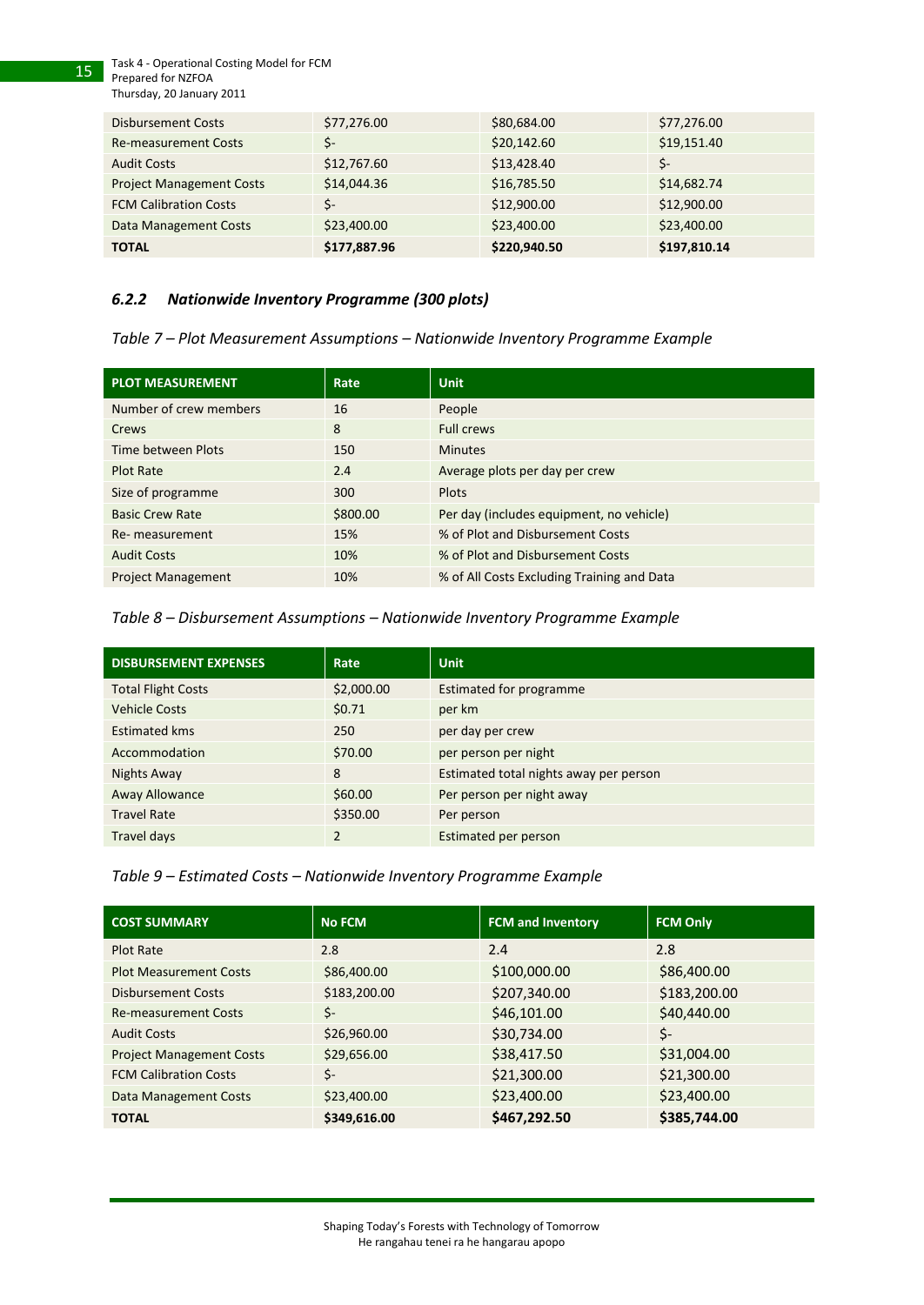Task 4 - Operational Costing Model for FCM Prepared for NZFOA Thursday, 20 January 2011

15

| <b>Disbursement Costs</b>       | \$77,276.00  | \$80,684.00  | \$77,276.00  |
|---------------------------------|--------------|--------------|--------------|
| <b>Re-measurement Costs</b>     | Ś-           | \$20,142.60  | \$19,151.40  |
| <b>Audit Costs</b>              | \$12,767.60  | \$13,428.40  | \$-          |
| <b>Project Management Costs</b> | \$14,044.36  | \$16,785.50  | \$14,682.74  |
| <b>FCM Calibration Costs</b>    | \$-          | \$12,900.00  | \$12,900.00  |
| Data Management Costs           | \$23,400.00  | \$23,400.00  | \$23,400.00  |
| <b>TOTAL</b>                    | \$177,887.96 | \$220,940.50 | \$197,810.14 |

#### <span id="page-14-0"></span>*6.2.2 Nationwide Inventory Programme (300 plots)*

<span id="page-14-1"></span>*Table 7 – Plot Measurement Assumptions – Nationwide Inventory Programme Example*

| <b>PLOT MEASUREMENT</b>   | Rate     | <b>Unit</b>                                |
|---------------------------|----------|--------------------------------------------|
| Number of crew members    | 16       | People                                     |
| Crews                     | 8        | <b>Full crews</b>                          |
| Time between Plots        | 150      | <b>Minutes</b>                             |
| Plot Rate                 | 2.4      | Average plots per day per crew             |
| Size of programme         | 300      | Plots                                      |
| <b>Basic Crew Rate</b>    | \$800.00 | Per day (includes equipment, no vehicle)   |
| Re- measurement           | 15%      | % of Plot and Disbursement Costs           |
| <b>Audit Costs</b>        | 10%      | % of Plot and Disbursement Costs           |
| <b>Project Management</b> | 10%      | % of All Costs Excluding Training and Data |

#### <span id="page-14-2"></span>*Table 8 – Disbursement Assumptions – Nationwide Inventory Programme Example*

| <b>DISBURSEMENT EXPENSES</b> | Rate           | <b>Unit</b>                            |
|------------------------------|----------------|----------------------------------------|
| <b>Total Flight Costs</b>    | \$2,000.00     | Estimated for programme                |
| <b>Vehicle Costs</b>         | \$0.71         | per km                                 |
| Estimated kms                | 250            | per day per crew                       |
| Accommodation                | \$70.00        | per person per night                   |
| Nights Away                  | 8              | Estimated total nights away per person |
| Away Allowance               | \$60.00        | Per person per night away              |
| <b>Travel Rate</b>           | \$350.00       | Per person                             |
| Travel days                  | $\overline{2}$ | Estimated per person                   |

#### <span id="page-14-3"></span>*Table 9 – Estimated Costs – Nationwide Inventory Programme Example*

| <b>COST SUMMARY</b>             | <b>No FCM</b> | <b>FCM and Inventory</b> | <b>FCM Only</b> |
|---------------------------------|---------------|--------------------------|-----------------|
| Plot Rate                       | 2.8           | 2.4                      | 2.8             |
| <b>Plot Measurement Costs</b>   | \$86,400.00   | \$100,000.00             | \$86,400.00     |
| <b>Disbursement Costs</b>       | \$183,200.00  | \$207,340.00             | \$183,200.00    |
| <b>Re-measurement Costs</b>     | \$-           | \$46,101.00              | \$40,440.00     |
| <b>Audit Costs</b>              | \$26,960.00   | \$30,734.00              | \$-             |
| <b>Project Management Costs</b> | \$29,656.00   | \$38,417.50              | \$31,004.00     |
| <b>FCM Calibration Costs</b>    | Ś-            | \$21,300.00              | \$21,300.00     |
| <b>Data Management Costs</b>    | \$23,400.00   | \$23,400.00              | \$23,400.00     |
| <b>TOTAL</b>                    | \$349,616.00  | \$467,292.50             | \$385,744.00    |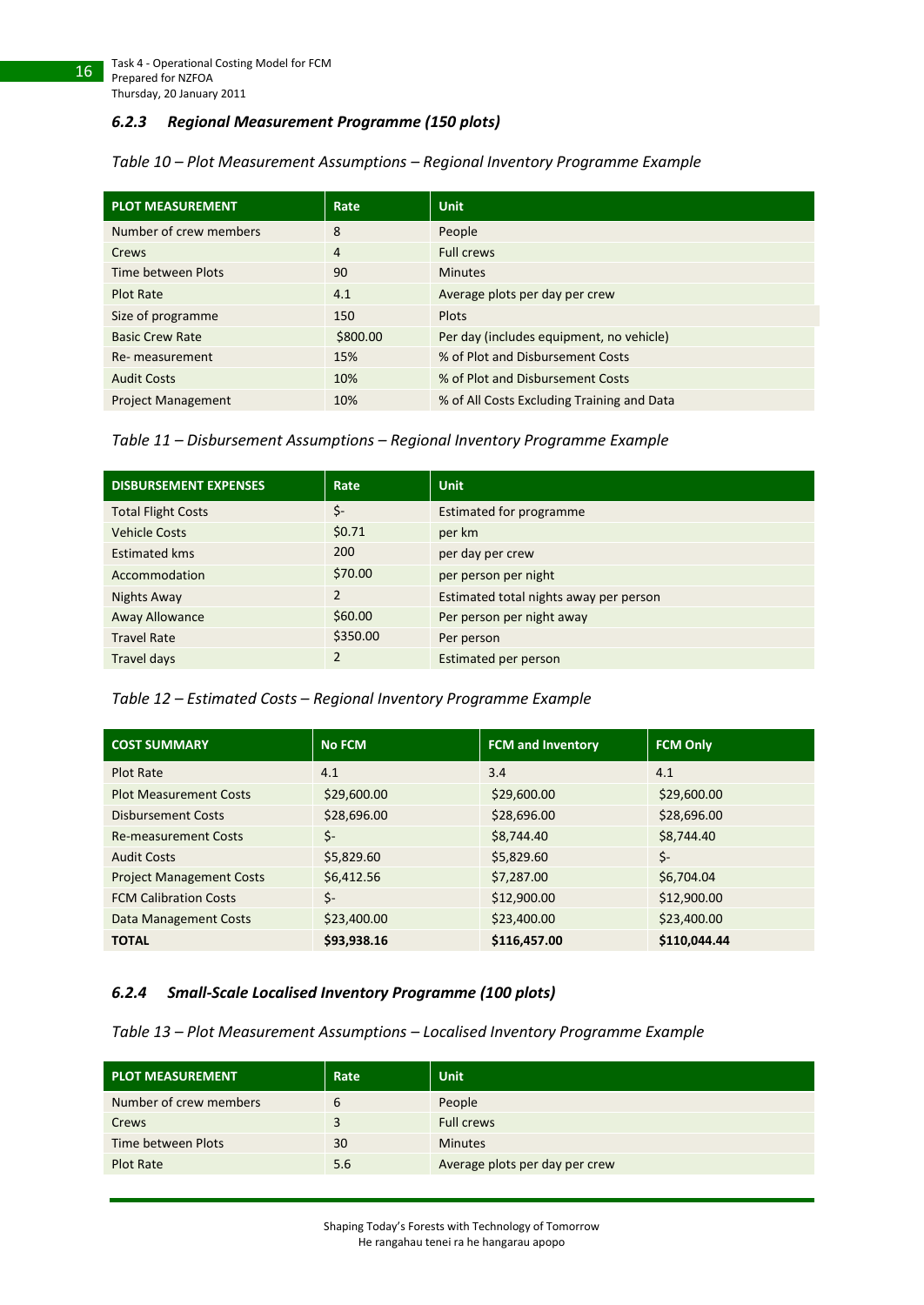#### <span id="page-15-0"></span>*6.2.3 Regional Measurement Programme (150 plots)*

#### <span id="page-15-2"></span>*Table 10 – Plot Measurement Assumptions – Regional Inventory Programme Example*

| <b>PLOT MEASUREMENT</b>   | Rate     | <b>Unit</b>                                |
|---------------------------|----------|--------------------------------------------|
| Number of crew members    | 8        | People                                     |
| Crews                     | 4        | <b>Full crews</b>                          |
| Time between Plots        | 90       | <b>Minutes</b>                             |
| <b>Plot Rate</b>          | 4.1      | Average plots per day per crew             |
| Size of programme         | 150      | Plots                                      |
| <b>Basic Crew Rate</b>    | \$800.00 | Per day (includes equipment, no vehicle)   |
| Re- measurement           | 15%      | % of Plot and Disbursement Costs           |
| <b>Audit Costs</b>        | 10%      | % of Plot and Disbursement Costs           |
| <b>Project Management</b> | 10%      | % of All Costs Excluding Training and Data |

<span id="page-15-3"></span>*Table 11 – Disbursement Assumptions – Regional Inventory Programme Example*

| <b>DISBURSEMENT EXPENSES</b> | Rate           | <b>Unit</b>                            |
|------------------------------|----------------|----------------------------------------|
| <b>Total Flight Costs</b>    | \$-            | Estimated for programme                |
| <b>Vehicle Costs</b>         | \$0.71         | per km                                 |
| <b>Estimated kms</b>         | 200            | per day per crew                       |
| Accommodation                | \$70.00        | per person per night                   |
| Nights Away                  | $\overline{2}$ | Estimated total nights away per person |
| Away Allowance               | \$60.00        | Per person per night away              |
| <b>Travel Rate</b>           | \$350.00       | Per person                             |
| Travel days                  | $\overline{2}$ | Estimated per person                   |

#### <span id="page-15-4"></span>*Table 12 – Estimated Costs – Regional Inventory Programme Example*

| <b>COST SUMMARY</b>             | <b>No FCM</b> | <b>FCM and Inventory</b> | <b>FCM Only</b> |
|---------------------------------|---------------|--------------------------|-----------------|
| <b>Plot Rate</b>                | 4.1           | 3.4                      | 4.1             |
| <b>Plot Measurement Costs</b>   | \$29,600.00   | \$29,600.00              | \$29,600.00     |
| <b>Disbursement Costs</b>       | \$28,696.00   | \$28,696.00              | \$28,696.00     |
| <b>Re-measurement Costs</b>     | Ś-            | \$8,744.40               | \$8,744.40      |
| <b>Audit Costs</b>              | \$5,829.60    | \$5,829.60               | Ś-              |
| <b>Project Management Costs</b> | \$6,412.56    | \$7,287.00               | \$6,704.04      |
| <b>FCM Calibration Costs</b>    | \$-           | \$12,900.00              | \$12,900.00     |
| Data Management Costs           | \$23,400.00   | \$23,400.00              | \$23,400.00     |
| <b>TOTAL</b>                    | \$93,938.16   | \$116,457.00             | \$110,044.44    |

#### <span id="page-15-1"></span>*6.2.4 Small-Scale Localised Inventory Programme (100 plots)*

<span id="page-15-5"></span>*Table 13 – Plot Measurement Assumptions – Localised Inventory Programme Example*

| <b>PLOT MEASUREMENT</b> | Rate <sup>1</sup> | <b>Unit</b>                    |
|-------------------------|-------------------|--------------------------------|
| Number of crew members  | 6                 | People                         |
| Crews                   | 3                 | <b>Full crews</b>              |
| Time between Plots      | 30                | <b>Minutes</b>                 |
| <b>Plot Rate</b>        | 5.6               | Average plots per day per crew |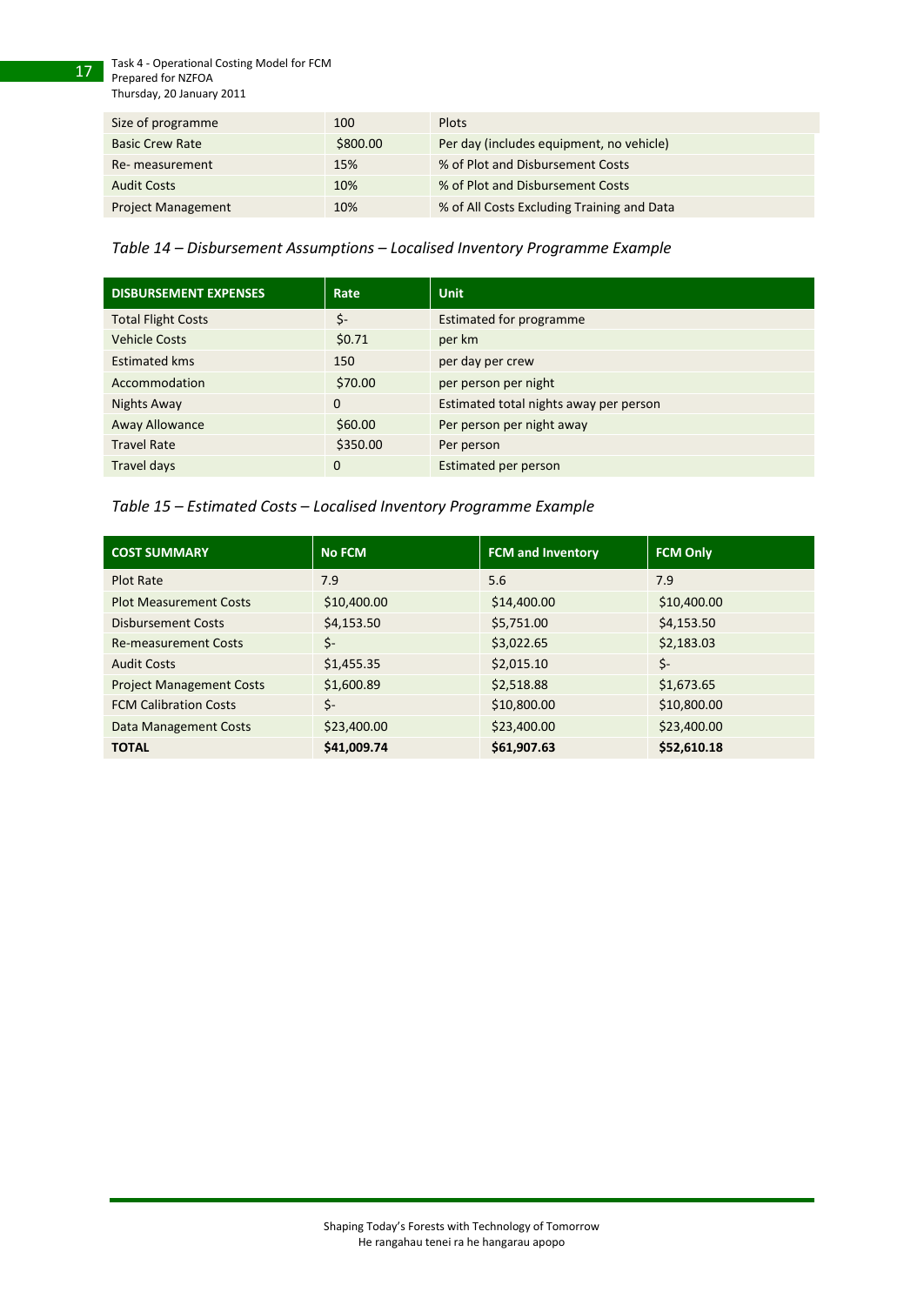Task 4 - Operational Costing Model for FCM

Prepared for NZFOA Thursday, 20 January 2011

17

| Size of programme         | 100      | <b>Plots</b>                               |
|---------------------------|----------|--------------------------------------------|
| <b>Basic Crew Rate</b>    | \$800.00 | Per day (includes equipment, no vehicle)   |
| Re-measurement            | 15%      | % of Plot and Disbursement Costs           |
| <b>Audit Costs</b>        | 10%      | % of Plot and Disbursement Costs           |
| <b>Project Management</b> | 10%      | % of All Costs Excluding Training and Data |

<span id="page-16-0"></span>*Table 14 – Disbursement Assumptions – Localised Inventory Programme Example*

| <b>DISBURSEMENT EXPENSES</b> | Rate        | <b>Unit</b>                            |
|------------------------------|-------------|----------------------------------------|
| <b>Total Flight Costs</b>    | \$-         | <b>Estimated for programme</b>         |
| <b>Vehicle Costs</b>         | \$0.71      | per km                                 |
| <b>Estimated kms</b>         | 150         | per day per crew                       |
| Accommodation                | \$70.00     | per person per night                   |
| Nights Away                  | $\mathbf 0$ | Estimated total nights away per person |
| Away Allowance               | \$60.00     | Per person per night away              |
| <b>Travel Rate</b>           | \$350.00    | Per person                             |
| Travel days                  | $\mathbf 0$ | Estimated per person                   |

<span id="page-16-1"></span>

| Table 15 - Estimated Costs - Localised Inventory Programme Example |  |  |
|--------------------------------------------------------------------|--|--|
|--------------------------------------------------------------------|--|--|

| <b>COST SUMMARY</b>             | <b>No FCM</b> | <b>FCM and Inventory</b> | <b>FCM Only</b> |
|---------------------------------|---------------|--------------------------|-----------------|
| <b>Plot Rate</b>                | 7.9           | 5.6                      | 7.9             |
| <b>Plot Measurement Costs</b>   | \$10,400.00   | \$14,400.00              | \$10,400.00     |
| <b>Disbursement Costs</b>       | \$4,153.50    | \$5,751.00               | \$4,153.50      |
| <b>Re-measurement Costs</b>     | Ś-            | \$3,022.65               | \$2,183.03      |
| <b>Audit Costs</b>              | \$1,455.35    | \$2,015.10               | \$-             |
| <b>Project Management Costs</b> | \$1,600.89    | \$2,518.88               | \$1,673.65      |
| <b>FCM Calibration Costs</b>    | \$-           | \$10,800.00              | \$10,800.00     |
| Data Management Costs           | \$23,400.00   | \$23,400.00              | \$23,400.00     |
| <b>TOTAL</b>                    | \$41,009.74   | \$61,907.63              | \$52,610.18     |